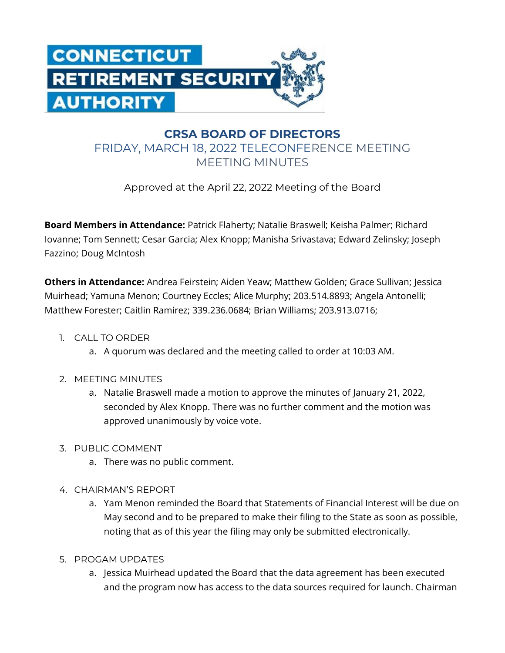

## **CRSA BOARD OF DIRECTORS** FRIDAY, MARCH 18, 2022 TELECONFERENCE MEETING MEETING MINUTES

Approved at the April 22, 2022 Meeting of the Board

**Board Members in Attendance:** Patrick Flaherty; Natalie Braswell; Keisha Palmer; Richard Iovanne; Tom Sennett; Cesar Garcia; Alex Knopp; Manisha Srivastava; Edward Zelinsky; Joseph Fazzino; Doug McIntosh

**Others in Attendance:** Andrea Feirstein; Aiden Yeaw; Matthew Golden; Grace Sullivan; Jessica Muirhead; Yamuna Menon; Courtney Eccles; Alice Murphy; 203.514.8893; Angela Antonelli; Matthew Forester; Caitlin Ramirez; 339.236.0684; Brian Williams; 203.913.0716;

- 1. CALL TO ORDER
	- a. A quorum was declared and the meeting called to order at 10:03 AM.
- 2. MEETING MINUTES
	- a. Natalie Braswell made a motion to approve the minutes of January 21, 2022, seconded by Alex Knopp. There was no further comment and the motion was approved unanimously by voice vote.
- 3. PUBLIC COMMENT
	- a. There was no public comment.
- 4. CHAIRMAN'S REPORT
	- a. Yam Menon reminded the Board that Statements of Financial Interest will be due on May second and to be prepared to make their filing to the State as soon as possible, noting that as of this year the filing may only be submitted electronically.
- 5. PROGAM UPDATES
	- a. Jessica Muirhead updated the Board that the data agreement has been executed and the program now has access to the data sources required for launch. Chairman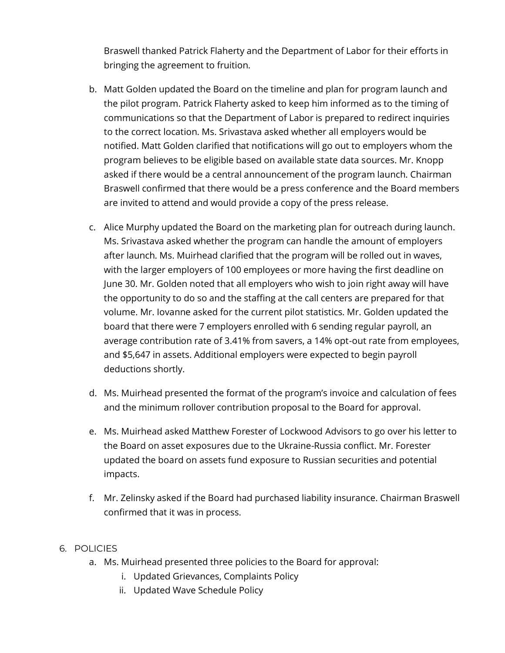Braswell thanked Patrick Flaherty and the Department of Labor for their efforts in bringing the agreement to fruition.

- b. Matt Golden updated the Board on the timeline and plan for program launch and the pilot program. Patrick Flaherty asked to keep him informed as to the timing of communications so that the Department of Labor is prepared to redirect inquiries to the correct location. Ms. Srivastava asked whether all employers would be notified. Matt Golden clarified that notifications will go out to employers whom the program believes to be eligible based on available state data sources. Mr. Knopp asked if there would be a central announcement of the program launch. Chairman Braswell confirmed that there would be a press conference and the Board members are invited to attend and would provide a copy of the press release.
- c. Alice Murphy updated the Board on the marketing plan for outreach during launch. Ms. Srivastava asked whether the program can handle the amount of employers after launch. Ms. Muirhead clarified that the program will be rolled out in waves, with the larger employers of 100 employees or more having the first deadline on June 30. Mr. Golden noted that all employers who wish to join right away will have the opportunity to do so and the staffing at the call centers are prepared for that volume. Mr. Iovanne asked for the current pilot statistics. Mr. Golden updated the board that there were 7 employers enrolled with 6 sending regular payroll, an average contribution rate of 3.41% from savers, a 14% opt-out rate from employees, and \$5,647 in assets. Additional employers were expected to begin payroll deductions shortly.
- d. Ms. Muirhead presented the format of the program's invoice and calculation of fees and the minimum rollover contribution proposal to the Board for approval.
- e. Ms. Muirhead asked Matthew Forester of Lockwood Advisors to go over his letter to the Board on asset exposures due to the Ukraine-Russia conflict. Mr. Forester updated the board on assets fund exposure to Russian securities and potential impacts.
- f. Mr. Zelinsky asked if the Board had purchased liability insurance. Chairman Braswell confirmed that it was in process.

## 6. POLICIES

- a. Ms. Muirhead presented three policies to the Board for approval:
	- i. Updated Grievances, Complaints Policy
	- ii. Updated Wave Schedule Policy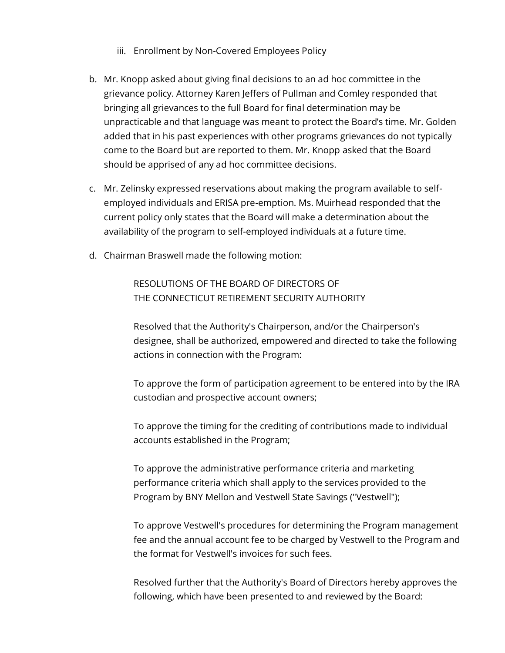- iii. Enrollment by Non-Covered Employees Policy
- b. Mr. Knopp asked about giving final decisions to an ad hoc committee in the grievance policy. Attorney Karen Jeffers of Pullman and Comley responded that bringing all grievances to the full Board for final determination may be unpracticable and that language was meant to protect the Board's time. Mr. Golden added that in his past experiences with other programs grievances do not typically come to the Board but are reported to them. Mr. Knopp asked that the Board should be apprised of any ad hoc committee decisions.
- c. Mr. Zelinsky expressed reservations about making the program available to selfemployed individuals and ERISA pre-emption. Ms. Muirhead responded that the current policy only states that the Board will make a determination about the availability of the program to self-employed individuals at a future time.
- d. Chairman Braswell made the following motion:

RESOLUTIONS OF THE BOARD OF DIRECTORS OF THE CONNECTICUT RETIREMENT SECURITY AUTHORITY

Resolved that the Authority's Chairperson, and/or the Chairperson's designee, shall be authorized, empowered and directed to take the following actions in connection with the Program:

To approve the form of participation agreement to be entered into by the IRA custodian and prospective account owners;

To approve the timing for the crediting of contributions made to individual accounts established in the Program;

To approve the administrative performance criteria and marketing performance criteria which shall apply to the services provided to the Program by BNY Mellon and Vestwell State Savings ("Vestwell");

To approve Vestwell's procedures for determining the Program management fee and the annual account fee to be charged by Vestwell to the Program and the format for Vestwell's invoices for such fees.

Resolved further that the Authority's Board of Directors hereby approves the following, which have been presented to and reviewed by the Board: